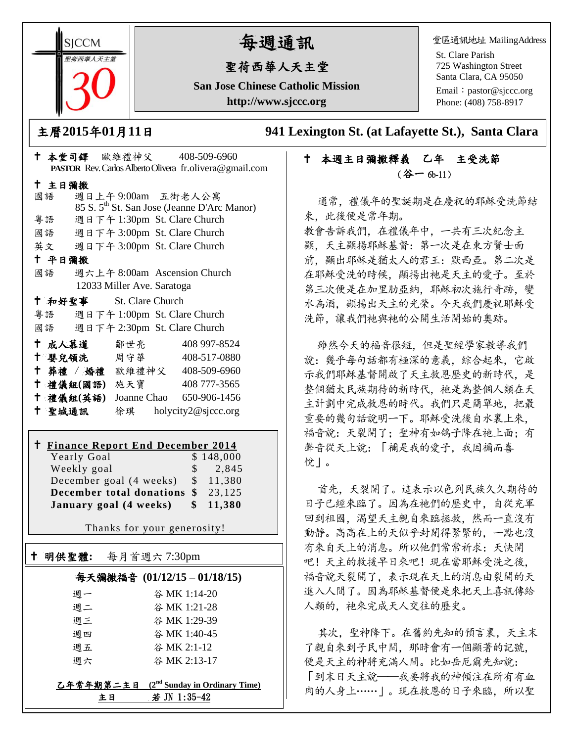**SICCM** 荷西華人天主室

# 每週通訊

## 聖荷西華人天主堂

**San Jose Chinese Catholic Mission http://www.sjccc.org**

堂區通訊地址 MailingAddress

St. Clare Parish 725 Washington Street Santa Clara, CA 95050

Email: [pastor@sjccc.org](mailto:pastor@sjccc.org) Phone: (408) 758-8917

主曆**2015**年**01**月**11**日 **941 Lexington St. (at Lafayette St.), Santa Clara** 

## 本週主日彌撒釋義乙年主受洗節 (谷一 6b-11)

通常、禮儀年的聖誕期是在慶祝的耶穌受洗節結 束,此後便是常年期。

教會告訴我們,在禮儀年中,一共有三次紀念主 顯,天主顯揚耶穌基督:第一次是在東方賢士面 前, 顯出耶穌是猶太人的君王: 默西亞。第二次是 在耶穌受洗的時候,顯揚出祂是天主的愛子。至於 第三次便是在加里肋亞納,耶穌初次施行奇跡,變 水為酒,顯揚出天主的光榮。今天我們慶祝耶穌受 洗節,讓我們祂與祂的公開生活開始的奧跡。

雖然今天的福音很短,但是聖經學家教導我們 說:幾乎每句話都有極深的意義,綜合起來,它啟 示我們耶穌基督開啟了天主救恩歷史的新時代,是 整個猶太民族期待的新時代。祂是為整個人類在天 主計劃中完成救恩的時代。我們只是簡單地,把最 重要的幾句話說明一下。耶穌受洗後自水裏上來, 福音說:天裂開了;聖神有如鴿子降在祂上面;有 聲音從天上說:「禰是我的愛子,我因禰而喜 悅」。

首先,天裂開了。這表示以色列民族久久期待的 日子已經來臨了。因為在祂們的歷史中,自從充軍 回到祖國,渴望天主親自來臨拯救,然而一直沒有 動靜。高高在上的天似乎封閉得緊緊的,一點也沒 有來自天上的消息。所以他們常常祈求:天快開 吧!天主的救援早日來吧!現在當耶穌受洗之後, 福音說天裂開了,表示現在天上的消息由裂開的天 進入人間了。因為耶穌基督便是來把天上喜訊傳給 人類的,祂來完成天人交往的歷史。

其次,聖神降下。在舊約先知的預言裏,天主末 了親自來到子民中間,那時會有一個顯著的記號, 便是天主的神將充滿人間。比如岳厄爾先知說: 「到末日天主說——我要將我的神傾注在所有有血 肉的人身上……」。現在救恩的日子來臨,所以聖

|        |                            | † 本堂司鐸 歐維禮神父 408-509-6960                                    |
|--------|----------------------------|--------------------------------------------------------------|
|        |                            | PASTOR Rev. Carlos Alberto Olivera fr.olivera@gmail.com      |
| 十 主日彌撒 |                            |                                                              |
| 國語     |                            | 週日上午9:00am 五街老人公寓                                            |
|        |                            | 85 S. 5 <sup>th</sup> St. San Jose (Jeanne D'Arc Manor)      |
|        |                            | 粤語 週日下午 1:30pm St. Clare Church                              |
|        |                            | 國語 週日下午 3:00pm St. Clare Church                              |
|        |                            | 英文 週日下午 3:00pm St. Clare Church                              |
| 十 平日彌撒 |                            |                                                              |
|        |                            | 國語 週六上午 8:00am Ascension Church                              |
|        | 12033 Miller Ave. Saratoga |                                                              |
|        | † 和好聖事 St. Clare Church    |                                                              |
|        |                            | 粤語 週日下午 1:00pm St. Clare Church                              |
|        |                            | 國語 週日下午 2:30pm St. Clare Church                              |
|        |                            | + 成人慕道 鄒世亮 408 997-8524                                      |
|        |                            | † 嬰兒領洗 周守華 408-517-0880                                      |
|        |                            | ↑ 葬禮 / 婚禮 歐維禮神父 408-509-6960                                 |
|        |                            | † 禮儀組(國語) 施天寶 408777-3565                                    |
|        |                            | <sup>†</sup> 禮儀組(英語) Joanne Chao 650-906-1456                |
|        |                            | † 聖城通訊   徐琪 holycity2@sjccc.org                              |
|        |                            |                                                              |
|        |                            | <sup><math>\pm</math></sup> Finance Depart End December 2014 |

#### **Finance Report End December 2014** Yearly Goal \$ 148,000

明供聖體**:** 每月首週六 7:30pm

Ξ

| Weekly goal                               | $\frac{\$}{2.845}$ |
|-------------------------------------------|--------------------|
| December goal (4 weeks) \$ 11,380         |                    |
| <b>December total donations \$</b> 23,125 |                    |
| January goal (4 weeks)                    | \$ 11,380          |

Thanks for your generosity!

## 每天彌撒福音 **(01/12/15 – 01/18/15)**

| EЕ | 若 JN 1:35-42                                 |
|----|----------------------------------------------|
|    | 乙年常年期第二主日 $(2^{nd}$ Sunday in Ordinary Time) |
| 调六 | 谷 MK 2:13-17                                 |
|    |                                              |
| 週五 | 谷 MK 2:1-12                                  |
| 週四 | 谷 MK 1:40-45                                 |
| 週三 | 谷 MK 1:29-39                                 |
| 週二 | 谷 MK 1:21-28                                 |
| 週一 | 谷 MK 1:14-20                                 |